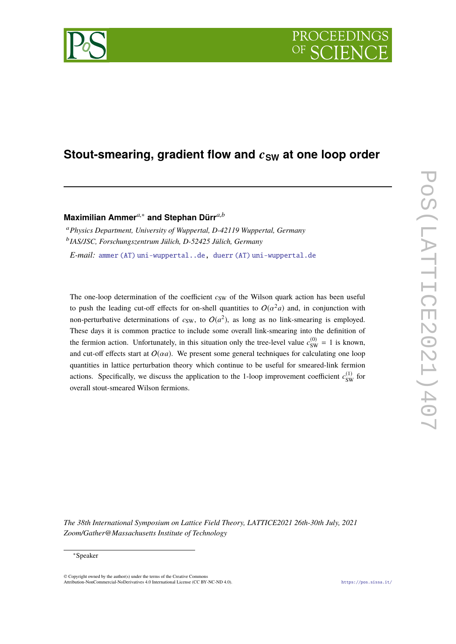# **Stout-smearing, gradient flow and**  $c_{SW}$  **at one loop order**

# **Maximilian Ammer***a*,<sup>∗</sup> **and Stephan Dürr***a*,*<sup>b</sup>*

<sup>a</sup>*Physics Department, University of Wuppertal, D-42119 Wuppertal, Germany* b *IAS/JSC, Forschungszentrum Jülich, D-52425 Jülich, Germany E-mail:* [ammer \(AT\) uni-wuppertal..de,](mailto:ammer\protect \kern +.1667em\relax (AT)\protect \kern +.1667em\relax uni-wuppertal$\unhbox \voidb@x \hbox {.}$.de) [duerr \(AT\) uni-wuppertal.de](mailto:duerr\protect \kern +.1667em\relax (AT)\protect \kern +.1667em\relax uni-wuppertal$\unhbox \voidb@x \hbox {.}$de)

The one-loop determination of the coefficient  $c_{SW}$  of the Wilson quark action has been useful to push the leading cut-off effects for on-shell quantities to  $O(\alpha^2 a)$  and, in conjunction with non-perturbative determinations of  $c_{SW}$ , to  $O(a^2)$ , as long as no link-smearing is employed. These days it is common practice to include some overall link-smearing into the definition of the fermion action. Unfortunately, in this situation only the tree-level value  $c_{SW}^{(0)} = 1$  is known, and cut-off effects start at  $O(aa)$ . We present some general techniques for calculating one loop quantities in lattice perturbation theory which continue to be useful for smeared-link fermion actions. Specifically, we discuss the application to the 1-loop improvement coefficient  $c_{SW}^{(1)}$  for overall stout-smeared Wilson fermions.

*The 38th International Symposium on Lattice Field Theory, LATTICE2021 26th-30th July, 2021 Zoom/Gather@Massachusetts Institute of Technology*

<sup>∗</sup>Speaker

 $\odot$  Copyright owned by the author(s) under the terms of the Creative Common Attribution-NonCommercial-NoDerivatives 4.0 International License (CC BY-NC-ND 4.0). <https://pos.sissa.it/>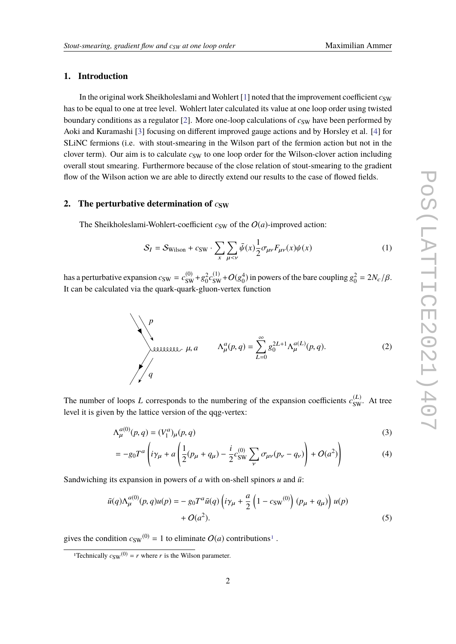# **1. Introduction**

In the original work Sheikholeslami and Wohlert  $[1]$  noted that the improvement coefficient  $c_{SW}$ has to be equal to one at tree level. Wohlert later calculated its value at one loop order using twisted boundary conditions as a regulator  $[2]$ . More one-loop calculations of  $c_{SW}$  have been performed by Aoki and Kuramashi [\[3\]](#page-6-2) focusing on different improved gauge actions and by Horsley et al. [\[4\]](#page-6-3) for SLiNC fermions (i.e. with stout-smearing in the Wilson part of the fermion action but not in the clover term). Our aim is to calculate  $c_{SW}$  to one loop order for the Wilson-clover action including overall stout smearing. Furthermore because of the close relation of stout-smearing to the gradient flow of the Wilson action we are able to directly extend our results to the case of flowed fields.

### <span id="page-1-1"></span>**2.** The perturbative determination of  $c_{SW}$

The Sheikholeslami-Wohlert-coefficient  $c_{SW}$  of the  $O(a)$ -improved action:

$$
S_I = S_{\text{Wilson}} + c_{\text{SW}} \cdot \sum_{x} \sum_{\mu < \nu} \bar{\psi}(x) \frac{1}{2} \sigma_{\mu\nu} F_{\mu\nu}(x) \psi(x) \tag{1}
$$

has a perturbative expansion  $c_{SW} = c_{SW}^{(0)} + g_0^2 c_{SW}^{(1)} + O(g_0^4)$  in powers of the bare coupling  $g_0^2 = 2N_c/\beta$ . It can be calculated via the quark-quark-gluon-vertex function

$$
\mu, a \qquad \Lambda_{\mu}^{a}(p,q) = \sum_{L=0}^{\infty} g_0^{2L+1} \Lambda_{\mu}^{a(L)}(p,q).
$$
 (2)

The number of loops *L* corresponds to the numbering of the expansion coefficients  $c_{SW}^{(L)}$ . At tree level it is given by the lattice version of the qqg-vertex:

$$
\Lambda_{\mu}^{a(0)}(p,q) = (V_1^a)_{\mu}(p,q) \tag{3}
$$

$$
= -g_0 T^a \left( i\gamma_\mu + a \left( \frac{1}{2} (p_\mu + q_\mu) - \frac{i}{2} c_{SW}^{(0)} \sum_{\nu} \sigma_{\mu\nu} (p_\nu - q_\nu) \right) + O(a^2) \right) \tag{4}
$$

Sandwiching its expansion in powers of  $a$  with on-shell spinors  $u$  and  $\overline{u}$ .

$$
\bar{u}(q)\Lambda_{\mu}^{a(0)}(p,q)u(p) = -g_0 T^a \bar{u}(q) \left( i\gamma_{\mu} + \frac{a}{2} \left( 1 - c_{SW}^{(0)} \right) (p_{\mu} + q_{\mu}) \right) u(p) + O(a^2).
$$
\n(5)

gives the condition  $c_{SW}^{(0)} = 1$  $c_{SW}^{(0)} = 1$  to eliminate  $O(a)$  contributions<sup>1</sup>.

<span id="page-1-0"></span><sup>&</sup>lt;sup>1</sup>Technically  $c_{SW}^{(0)} = r$  where *r* is the Wilson parameter.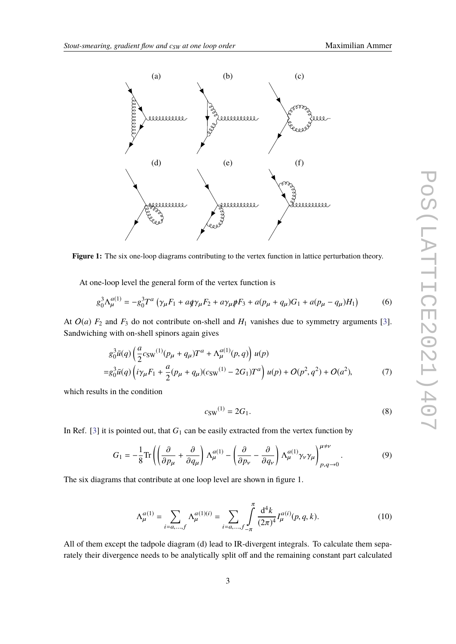

**Figure 1:** The six one-loop diagrams contributing to the vertex function in lattice perturbation theory.

At one-loop level the general form of the vertex function is

$$
g_0^3 \Lambda_\mu^{a(1)} = -g_0^3 T^a \left( \gamma_\mu F_1 + a q \gamma_\mu F_2 + a \gamma_\mu \rlap{\,/}F_3 + a (p_\mu + q_\mu) G_1 + a (p_\mu - q_\mu) H_1 \right) \tag{6}
$$

At  $O(a)$   $F_2$  and  $F_3$  do not contribute on-shell and  $H_1$  vanishes due to symmetry arguments [\[3\]](#page-6-2). Sandwiching with on-shell spinors again gives

$$
g_0^3 \bar{u}(q) \left(\frac{a}{2} c_{\rm SW}^{(1)}(p_\mu + q_\mu) T^a + \Lambda_\mu^{a(1)}(p, q)\right) u(p)
$$
  
=  $g_0^3 \bar{u}(q) \left(i \gamma_\mu F_1 + \frac{a}{2} (p_\mu + q_\mu)(c_{\rm SW}^{(1)} - 2G_1) T^a\right) u(p) + O(p^2, q^2) + O(a^2),$  (7)

which results in the condition

$$
c_{\text{SW}}^{(1)} = 2G_1. \tag{8}
$$

In Ref. [\[3\]](#page-6-2) it is pointed out, that  $G_1$  can be easily extracted from the vertex function by

$$
G_1 = -\frac{1}{8} \text{Tr} \left( \left( \frac{\partial}{\partial p_\mu} + \frac{\partial}{\partial q_\mu} \right) \Lambda_\mu^{a(1)} - \left( \frac{\partial}{\partial p_\nu} - \frac{\partial}{\partial q_\nu} \right) \Lambda_\mu^{a(1)} \gamma_\nu \gamma_\mu \right)_{p,q \to 0}^{\mu \neq \nu} . \tag{9}
$$

The six diagrams that contribute at one loop level are shown in figure 1.

$$
\Lambda_{\mu}^{a(1)} = \sum_{i=a,...,f} \Lambda_{\mu}^{a(1)(i)} = \sum_{i=a,...,f} \int_{-\pi}^{\pi} \frac{\mathrm{d}^4 k}{(2\pi)^4} I_{\mu}^{a(i)}(p,q,k). \tag{10}
$$

All of them except the tadpole diagram (d) lead to IR-divergent integrals. To calculate them separately their divergence needs to be analytically split off and the remaining constant part calculated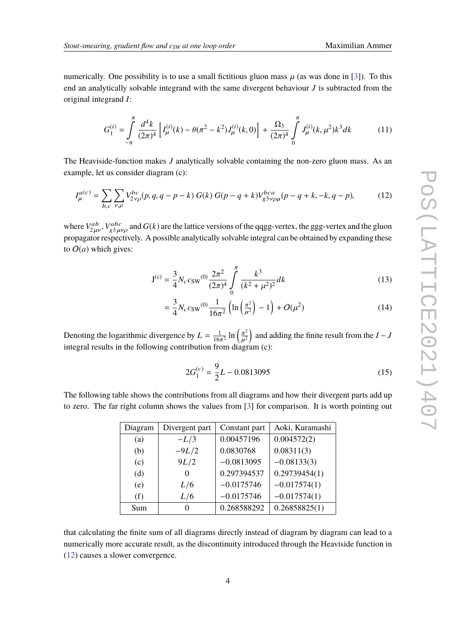numerically. One possibility is to use a small fictitious gluon mass  $\mu$  (as was done in [\[3\]](#page-6-2)). To this end an analytically solvable integrand with the same divergent behaviour *J* is subtracted from the original integrand *I*:

$$
G_1^{(i)} = \int_{-\pi}^{\pi} \frac{d^4k}{(2\pi)^4} \left[ I_{\mu}^{(i)}(k) - \theta(\pi^2 - k^2) J_{\mu}^{(i)}(k, 0) \right] + \frac{\Omega_3}{(2\pi)^4} \int_{0}^{\pi} J_{\mu}^{(i)}(k, \mu^2) k^3 dk \tag{11}
$$

The Heaviside-function makes *J* analytically solvable containing the non-zero gluon mass. As an example, let us consider diagram (c):

$$
I_{\mu}^{a(c)} = \sum_{b,c} \sum_{\nu,\rho} V_{2\nu\rho}^{bc}(p,q,q-p-k) G(k) G(p-q+k) V_{g3\nu\rho\mu}^{bca}(p-q+k,-k,q-p), \tag{12}
$$

where  $V_{2\mu\nu}^{ab}$ ,  $V_{g3\mu\nu\rho}^{abc}$  and  $G(k)$  are the lattice versions of the qqgg-vertex, the ggg-vertex and the gluon proposator respectively. A possible applytically solvable integral can be obtained by expanding the propagator respectively. A possible analytically solvable integral can be obtained by expanding these to  $O(a)$  which gives:

<span id="page-3-0"></span>
$$
J^{(c)} = \frac{3}{4} N_c c_{SW}^{(0)} \frac{2\pi^2}{(2\pi)^4} \int_0^{\pi} \frac{k^3}{(k^2 + \mu^2)^2} dk
$$
 (13)

$$
= \frac{3}{4} N_c c_{\text{SW}}^{(0)} \frac{1}{16\pi^2} \left( \ln \left( \frac{\pi^2}{\mu^2} \right) - 1 \right) + O(\mu^2)
$$
 (14)

Denoting the logarithmic divergence by  $L = \frac{1}{16\pi^2} \ln \left( \frac{\pi^2}{a^2} \right)$ **Denoting the regularism divergence of**  $L = \frac{16\pi^2}{16\pi^2}$  ( $\mu^2$ ) and a integral results in the following contribution from diagram (c):  $\frac{\mu^2}{\alpha}$ and adding the finite result from the *I* − *J*

$$
2G_1^{(c)} = \frac{9}{2}L - 0.0813095\tag{15}
$$

The following table shows the contributions from all diagrams and how their divergent parts add up to zero. The far right column shows the values from [\[3\]](#page-6-2) for comparison. It is worth pointing out

| Diagram | Divergent part    | Constant part | Aoki, Kuramashi |
|---------|-------------------|---------------|-----------------|
| (a)     | $-L/3$            | 0.00457196    | 0.004572(2)     |
| (b)     | $-9L/2$           | 0.0830768     | 0.08311(3)      |
| (c)     | 9L/2              | $-0.0813095$  | $-0.08133(3)$   |
| (d)     | 0                 | 0.297394537   | 0.29739454(1)   |
| (e)     | L/6               | $-0.0175746$  | $-0.017574(1)$  |
| (f)     | L/6               | $-0.0175746$  | $-0.017574(1)$  |
| Sum     | $\mathbf{\Omega}$ | 0.268588292   | 0.26858825(1)   |

that calculating the finite sum of all diagrams directly instead of diagram by diagram can lead to a numerically more accurate result, as the discontinuity introduced through the Heaviside function in [\(12\)](#page-3-0) causes a slower convergence.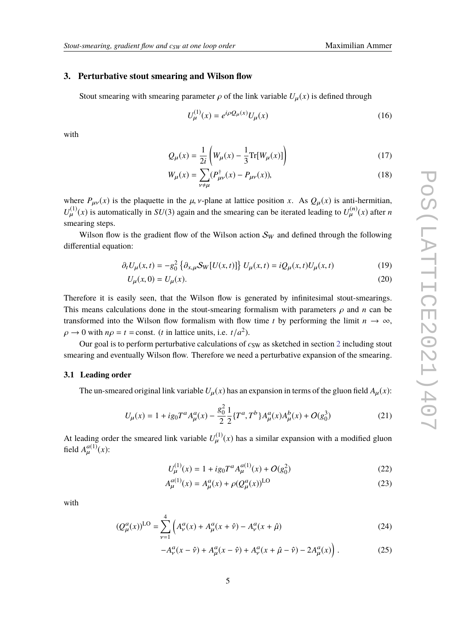#### **3. Perturbative stout smearing and Wilson flow**

Stout smearing with smearing parameter  $\rho$  of the link variable  $U_{\mu}(x)$  is defined through

$$
U_{\mu}^{(1)}(x) = e^{i\rho \mathcal{Q}_{\mu}(x)} U_{\mu}(x)
$$
\n(16)

with

$$
Q_{\mu}(x) = \frac{1}{2i} \left( W_{\mu}(x) - \frac{1}{3} \text{Tr}[W_{\mu}(x)] \right)
$$
 (17)

$$
W_{\mu}(x) = \sum_{\nu \neq \mu} (P^{\dagger}_{\mu\nu}(x) - P_{\mu\nu}(x)),
$$
\n(18)

where  $P_{\mu\nu}(x)$  is the plaquette in the  $\mu$ , v-plane at lattice position *x*. As  $Q_{\mu}(x)$  is anti-hermitian,  $U_{\mu}^{(1)}(x)$  is automatically in *SU*(3) again and the smearing can be iterated leading to  $U_{\mu}^{(n)}(x)$  after *n* smearing steps.

Wilson flow is the gradient flow of the Wilson action  $\mathcal{S}_W$  and defined through the following differential equation:

$$
\partial_t U_\mu(x,t) = -g_0^2 \left\{ \partial_{x,\mu} S_W[U(x,t)] \right\} U_\mu(x,t) = i Q_\mu(x,t) U_\mu(x,t) \tag{19}
$$

$$
U_{\mu}(x,0) = U_{\mu}(x). \tag{20}
$$

Therefore it is easily seen, that the Wilson flow is generated by infinitesimal stout-smearings. This means calculations done in the stout-smearing formalism with parameters  $\rho$  and  $n$  can be transformed into the Wilson flow formalism with flow time *t* by performing the limit  $n \to \infty$ ,  $\rho \rightarrow 0$  with  $n\rho = t$  = const. (*t* in lattice units, i.e.  $t/a^2$ ).

Our goal is to perform perturbative calculations of  $c_{SW}$  as sketched in section [2](#page-1-1) including stout smearing and eventually Wilson flow. Therefore we need a perturbative expansion of the smearing.

### **3.1 Leading order**

The un-smeared original link variable  $U_{\mu}(x)$  has an expansion in terms of the gluon field  $A_{\mu}(x)$ :

$$
U_{\mu}(x) = 1 + ig_0 T^a A_{\mu}^a(x) - \frac{g_0^2}{2} \frac{1}{2} \{T^a, T^b\} A_{\mu}^a(x) A_{\mu}^b(x) + O(g_0^3)
$$
 (21)

At leading order the smeared link variable  $U^{(1)}_{\mu}(x)$  has a similar expansion with a modified gluon field  $A_{\mu}^{a(1)}(x)$ :

$$
U_{\mu}^{(1)}(x) = 1 + ig_0 T^a A_{\mu}^{a(1)}(x) + O(g_0^2)
$$
 (22)

$$
A_{\mu}^{a(1)}(x) = A_{\mu}^{a}(x) + \rho (Q_{\mu}^{a}(x))^{LO}
$$
 (23)

with

$$
(Q_{\mu}^{a}(x))^{LO} = \sum_{\nu=1}^{4} \left( A_{\nu}^{a}(x) + A_{\mu}^{a}(x + \hat{\nu}) - A_{\nu}^{a}(x + \hat{\mu}) \right)
$$
(24)

$$
-A^a_\nu(x-\hat{\nu}) + A^a_\mu(x-\hat{\nu}) + A^a_\nu(x+\hat{\mu}-\hat{\nu}) - 2A^a_\mu(x) \Big) \,. \tag{25}
$$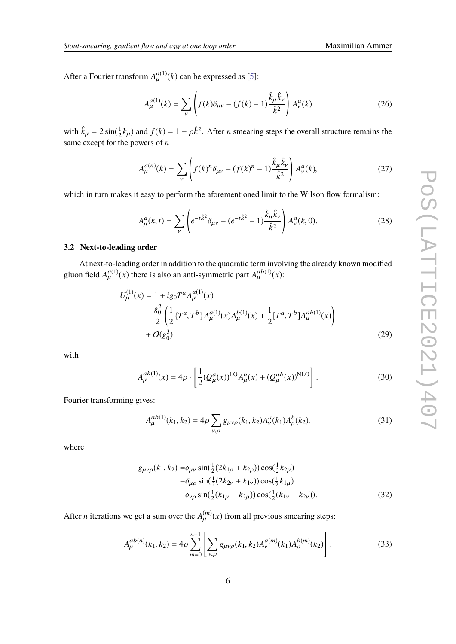After a Fourier transform  $A_{\mu}^{a(1)}(k)$  can be expressed as [\[5\]](#page-6-4):

$$
A_{\mu}^{a(1)}(k) = \sum_{\nu} \left( f(k)\delta_{\mu\nu} - (f(k) - 1)\frac{\hat{k}_{\mu}\hat{k}_{\nu}}{\hat{k}^2} \right) A_{\nu}^a(k) \tag{26}
$$

with  $\hat{k}_{\mu} = 2 \sin(\frac{1}{2})$  $\frac{1}{2}k_{\mu}$ ) and  $f(k) = 1 - \rho \hat{k}^2$ . After *n* smearing steps the overall structure remains the same except for the powers of *n*

$$
A_{\mu}^{a(n)}(k) = \sum_{\nu} \left( f(k)^n \delta_{\mu\nu} - (f(k)^n - 1) \frac{\hat{k}_{\mu} \hat{k}_{\nu}}{\hat{k}^2} \right) A_{\nu}^a(k),
$$
 (27)

which in turn makes it easy to perform the aforementioned limit to the Wilson flow formalism:

$$
A_{\mu}^{a}(k,t) = \sum_{\nu} \left( e^{-t\hat{k}^{2}} \delta_{\mu\nu} - (e^{-t\hat{k}^{2}} - 1) \frac{\hat{k}_{\mu}\hat{k}_{\nu}}{\hat{k}^{2}} \right) A_{\nu}^{a}(k,0). \tag{28}
$$

# **3.2 Next-to-leading order**

At next-to-leading order in addition to the quadratic term involving the already known modified gluon field  $A_{\mu}^{a(1)}(x)$  there is also an anti-symmetric part  $A_{\mu}^{ab(1)}(x)$ :

$$
U_{\mu}^{(1)}(x) = 1 + ig_0 T^a A_{\mu}^{a(1)}(x)
$$
  
 
$$
- \frac{g_0^2}{2} \left( \frac{1}{2} \{ T^a, T^b \} A_{\mu}^{a(1)}(x) A_{\mu}^{b(1)}(x) + \frac{1}{2} [T^a, T^b] A_{\mu}^{ab(1)}(x) \right)
$$
  
 
$$
+ O(g_0^3)
$$
 (29)

with

$$
A_{\mu}^{ab(1)}(x) = 4\rho \cdot \left[ \frac{1}{2} (Q_{\mu}^{a}(x))^{LO} A_{\mu}^{b}(x) + (Q_{\mu}^{ab}(x))^{NLO} \right].
$$
 (30)

Fourier transforming gives:

$$
A_{\mu}^{ab(1)}(k_1, k_2) = 4\rho \sum_{\nu, \rho} g_{\mu\nu\rho}(k_1, k_2) A_{\nu}^a(k_1) A_{\rho}^b(k_2), \tag{31}
$$

where

$$
g_{\mu\nu\rho}(k_1, k_2) = \delta_{\mu\nu} \sin(\frac{1}{2}(2k_{1\rho} + k_{2\rho})) \cos(\frac{1}{2}k_{2\mu})
$$
  
\n
$$
- \delta_{\mu\rho} \sin(\frac{1}{2}(2k_{2\nu} + k_{1\nu})) \cos(\frac{1}{2}k_{1\mu})
$$
  
\n
$$
- \delta_{\nu\rho} \sin(\frac{1}{2}(k_{1\mu} - k_{2\mu})) \cos(\frac{1}{2}(k_{1\nu} + k_{2\nu})).
$$
\n(32)

After *n* iterations we get a sum over the  $A_{\mu}^{(m)}(x)$  from all previous smearing steps:

$$
A_{\mu}^{ab(n)}(k_1, k_2) = 4\rho \sum_{m=0}^{n-1} \left[ \sum_{\nu, \rho} g_{\mu\nu\rho}(k_1, k_2) A_{\nu}^{a(m)}(k_1) A_{\rho}^{b(m)}(k_2) \right].
$$
 (33)